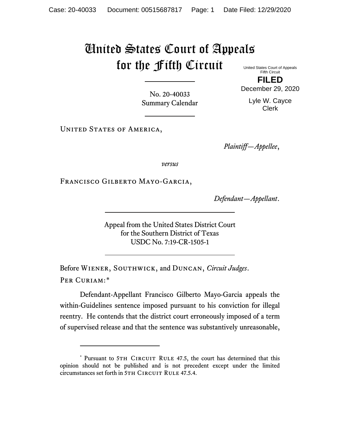## United States Court of Appeals for the Fifth Circuit United States Court of Appeals

Fifth Circuit **FILED**

December 29, 2020

No. 20-40033 Summary Calendar

Lyle W. Cayce Clerk

UNITED STATES OF AMERICA,

*Plaintiff—Appellee*,

*versus*

Francisco Gilberto Mayo-Garcia,

*Defendant—Appellant*.

Appeal from the United States District Court for the Southern District of Texas USDC No. 7:19-CR-1505-1

Before Wiener, Southwick, and Duncan, *Circuit Judges*. Per Curiam:[\\*](#page-0-0)

Defendant-Appellant Francisco Gilberto Mayo-Garcia appeals the within-Guidelines sentence imposed pursuant to his conviction for illegal reentry. He contends that the district court erroneously imposed of a term of supervised release and that the sentence was substantively unreasonable,

<span id="page-0-0"></span><sup>\*</sup> Pursuant to 5TH CIRCUIT RULE 47.5, the court has determined that this opinion should not be published and is not precedent except under the limited circumstances set forth in 5TH CIRCUIT RULE 47.5.4.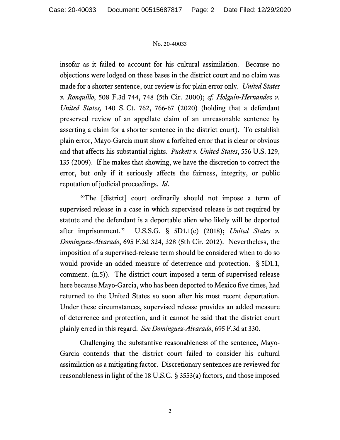## No. 20-40033

insofar as it failed to account for his cultural assimilation. Because no objections were lodged on these bases in the district court and no claim was made for a shorter sentence, our review is for plain error only. *United States v. Ronquillo*, 508 F.3d 744, 748 (5th Cir. 2000); *cf. Holguin-Hernandez v. United States,* 140 S. Ct. 762, 766-67 (2020) (holding that a defendant preserved review of an appellate claim of an unreasonable sentence by asserting a claim for a shorter sentence in the district court). To establish plain error, Mayo-Garcia must show a forfeited error that is clear or obvious and that affects his substantial rights. *Puckett v. United States*, 556 U.S. 129, 135 (2009). If he makes that showing, we have the discretion to correct the error, but only if it seriously affects the fairness, integrity, or public reputation of judicial proceedings. *Id*.

"The [district] court ordinarily should not impose a term of supervised release in a case in which supervised release is not required by statute and the defendant is a deportable alien who likely will be deported after imprisonment." U.S.S.G. § 5D1.1(c) (2018); *United States v. Dominguez-Alvarado*, 695 F.3d 324, 328 (5th Cir. 2012). Nevertheless, the imposition of a supervised-release term should be considered when to do so would provide an added measure of deterrence and protection. § 5D1.1, comment. (n.5)). The district court imposed a term of supervised release here because Mayo-Garcia, who has been deported to Mexico five times, had returned to the United States so soon after his most recent deportation. Under these circumstances, supervised release provides an added measure of deterrence and protection, and it cannot be said that the district court plainly erred in this regard. *See Dominguez-Alvarado*, 695 F.3d at 330.

Challenging the substantive reasonableness of the sentence, Mayo-Garcia contends that the district court failed to consider his cultural assimilation as a mitigating factor. Discretionary sentences are reviewed for reasonableness in light of the 18 U.S.C. § 3553(a) factors, and those imposed